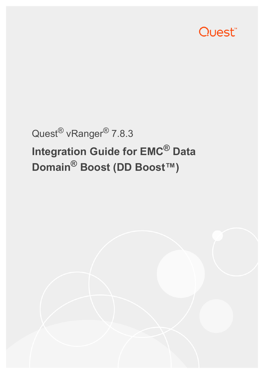

# Quest® vRanger® 7.8.3 **Integration Guide for EMC® Data Domain® Boost (DD Boost™)**

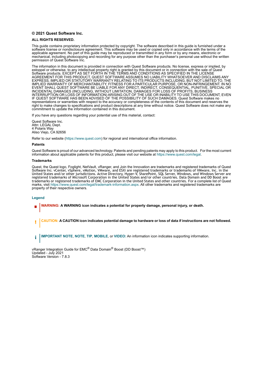#### **© 2021 Quest Software Inc.**

#### **ALL RIGHTS RESERVED.**

This guide contains proprietary information protected by copyright. The software described in this guide is furnished under a software license or nondisclosure agreement. This software may be used or copied only in accordance with the terms of the applicable agreement. No part of this guide may be reproduced or transmitted in any form or by any means, electronic or mechanical, including photocopying and recording for any purpose other than the purchaser's personal use without the written permission of Quest Software Inc.

The information in this document is provided in connection with Quest Software products. No license, express or implied, by estoppel or otherwise, to any intellectual property right is granted by this document or in connection with the sale of Quest<br>Software products. EXCEPT AS SET FORTH IN THE TERMS AND CONDITIONS AS SPECIFIED IN THE LICENSE<br>A EXPRESS, IMPLIED OR STATUTORY WARRANTY RELATING TO ITS PRODUCTS INCLUDING, BUT NOT LIMITED TO, THE IMPLIED WARRANTY OF MERCHANTABILITY, FITNESS FOR A PARTICULAR PURPOSE, OR NON-INFRINGEMENT. IN NO EVENT SHALL QUEST SOFTWARE BE LIABLE FOR ANY DIRECT, INDIRECT, CONSEQUENTIAL, PUNITIVE, SPECIAL OR INCIDENTAL DAMAGES (INCLUDING, WITHOUT LIMITATION, DAMAGES FOR LOSS OF PROFITS, BUSINESS<br>INTERRUPTION OR LOSS OF INFORMATION) ARISING OUT OF THE USE OR INABILITY TO USE THIS DOCUMENT, EVEN IF QUEST SOFTWARE HAS BEEN ADVISED OF THE POSSIBILITY OF SUCH DAMAGES. Quest Software makes no representations or warranties with respect to the accuracy or completeness of the contents of this document and reserves the right to make changes to specifications and product descriptions at any time without notice. Quest Software does not make any commitment to update the information contained in this document.

If you have any questions regarding your potential use of this material, contact:

Quest Software Inc. Attn: LEGAL Dept. 4 Polaris Way Aliso Viejo, CA 92656

Refer to our website [\(https://www.quest.com](https://www.quest.com)) for regional and international office information.

#### **Patents**

Quest Software is proud of our advanced technology. Patents and pending patents may apply to this product. For the most current information about applicable patents for this product, please visit our website at [https://www.quest.com/legal.](https://www.quest.com/legal)

#### **Trademarks**

Quest, the Quest logo, Foglight, NetVault, vRanger, and Join the Innovation are trademarks and registered trademarks of Quest Software Inc. vCenter, vSphere, vMotion, VMware, and ESXi are registered trademarks or trademarks of VMware, Inc. in the<br>United States and/or other jurisdictions. Active Directory, Hyper-V, SharePoint, SQL Server, Windows, registered trademarks of Microsoft Corporation in the United States and/or other countries. Data Domain and DD Boost are trademarks or registered trademarks of EMC Corporation in the United States and other countries. For a complete list of Quest marks, visit [https://www.quest.com/legal/trademark-information.aspx.](https://www.quest.com/legal/trademark-information.aspx) All other trademarks and registered trademarks are property of their respective owners.

#### **Legend**

**WARNING: A WARNING icon indicates a potential for property damage, personal injury, or death.**

**CAUTION: A CAUTION icon indicates potential damage to hardware or loss of data if instructions are not followed.** Ţ

**IMPORTANT NOTE**, **NOTE**, **TIP**, **MOBILE**, or **VIDEO:** An information icon indicates supporting information.i

vRanger Integration Guide for EMC<sup>®</sup> Data Domain<sup>®</sup> Boost (DD Boost™) Updated - July 2021 Software Version - 7.8.3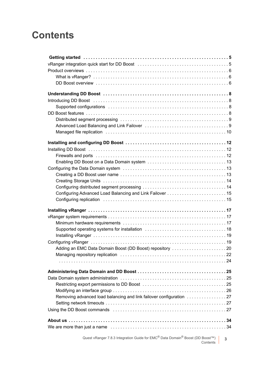# **Contents**

| Adding an EMC Data Domain Boost (DD Boost) repository 20                                              |   |
|-------------------------------------------------------------------------------------------------------|---|
|                                                                                                       |   |
|                                                                                                       |   |
|                                                                                                       |   |
|                                                                                                       |   |
|                                                                                                       |   |
|                                                                                                       |   |
| Removing advanced load balancing and link failover configuration 27                                   |   |
|                                                                                                       |   |
|                                                                                                       |   |
|                                                                                                       |   |
|                                                                                                       |   |
|                                                                                                       |   |
|                                                                                                       |   |
| Quest vRanger 7.8.3 Integration Guide for EMC <sup>®</sup> Data Domain <sup>®</sup> Boost (DD Boost™) | 3 |

Boost <sup>™</sup>) 3<br>Contents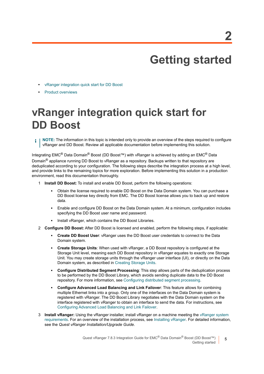# **Getting started**

- <span id="page-4-0"></span>**•** [vRanger integration quick start for DD Boost](#page-4-1)
- **•** [Product overviews](#page-5-0)

# <span id="page-4-1"></span>**vRanger integration quick start for DD Boost**

**NOTE:** The information in this topic is intended only to provide an overview of the steps required to configure f. vRanger and DD Boost. Review all applicable documentation before implementing this solution.

Integrating EMC® Data Domain® Boost (DD Boost™) with vRanger is achieved by adding an EMC® Data Domain<sup>®</sup> appliance running DD Boost to vRanger as a repository. Backups written to that repository are deduplicated according to your configuration. The following steps describe the integration process at a high level, and provide links to the remaining topics for more exploration. Before implementing this solution in a production environment, read this documentation thoroughly.

- 1 **Install DD Boost:** To install and enable DD Boost, perform the following operations:
	- **▪** Obtain the license required to enable DD Boost on the Data Domain system. You can purchase a DD Boost license key directly from EMC. The DD Boost license allows you to back up and restore data.
	- **▪** Enable and configure DD Boost on the Data Domain system. At a minimum, configuration includes specifying the DD Boost user name and password.
	- **▪** Install vRanger, which contains the DD Boost Libraries.
- 2 **Configure DD Boost:** After DD Boost is licensed and enabled, perform the following steps, if applicable:
	- **Create DD Boost User: vRanger uses the DD Boost user credentials to connect to the Data** Domain system.
	- **Create Storage Units:** When used with vRanger, a DD Boost repository is configured at the Storage Unit level, meaning each DD Boost repository in vRanger equates to exactly one Storage Unit. You may create storage units through the vRanger user interface (UI), or directly on the Data Domain system, as described in [Creating Storage Units](#page-13-2).
	- **▪ Configure Distributed Segment Processing**: This step allows parts of the deduplication process to be performed by the DD Boost Library, which avoids sending duplicate data to the DD Boost repository. For more information, see [Configuring distributed segment processing.](#page-13-3)
	- **▪ Configure Advanced Load Balancing and Link Failover**: This feature allows for combining multiple Ethernet links into a group. Only one of the interfaces on the Data Domain system is registered with vRanger. The DD Boost Library negotiates with the Data Domain system on the interface registered with vRanger to obtain an interface to send the data. For instructions, see [Configuring Advanced Load Balancing and Link Failover.](#page-14-2)
- 3 **Install vRanger:** Using the vRanger installer, install vRanger on a machine meeting the [vRanger system](#page-16-2)  [requirements](#page-16-2). For an overview of the installation process, see [Installing vRanger](#page-18-2). For detailed information, see the *Quest vRanger Installation/Upgrade Guide*.

**5**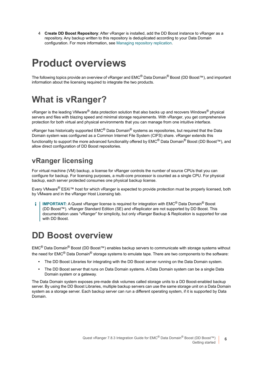4 **Create DD Boost Repository**: After vRanger is installed, add the DD Boost instance to vRanger as a repository. Any backup written to this repository is deduplicated according to your Data Domain configuration. For more information, see [Managing repository replication](#page-21-0).

# <span id="page-5-0"></span>**Product overviews**

The following topics provide an overview of vRanger and EMC® Data Domain® Boost (DD Boost™), and important information about the licensing required to integrate the two products.

## <span id="page-5-1"></span>**What is vRanger?**

vRanger is the leading VMware<sup>®</sup> data protection solution that also backs up and recovers Windows<sup>®</sup> physical servers and files with blazing speed and minimal storage requirements. With vRanger, you get comprehensive protection for both virtual and physical environments that you can manage from one intuitive interface.

vRanger has historically supported EMC<sup>®</sup> Data Domain<sup>®</sup> systems as repositories, but required that the Data Domain system was configured as a Common Internet File System (CIFS) share. vRanger extends this functionality to support the more advanced functionality offered by EMC® Data Domain® Boost (DD Boost™), and allow direct configuration of DD Boost repositories.

### **vRanger licensing**

For virtual machine (VM) backup, a license for vRanger controls the number of source CPUs that you can configure for backup. For licensing purposes, a multi-core processor is counted as a single CPU. For physical backup, each server protected consumes one physical backup license.

Every VMware® ESXi™ host for which vRanger is expected to provide protection must be properly licensed, both by VMware and in the vRanger Host Licensing tab.

**IMPORTANT:** A Quest vRanger license is required for integration with EMC<sup>®</sup> Data Domain<sup>®</sup> Boost (DD Boost™). vRanger Standard Edition (SE) and vReplicator are not supported by DD Boost. This documentation uses "vRanger" for simplicity, but only vRanger Backup & Replication is supported for use with DD Boost.

## <span id="page-5-2"></span>**DD Boost overview**

EMC® Data Domain® Boost (DD Boost™) enables backup servers to communicate with storage systems without the need for EMC<sup>®</sup> Data Domain<sup>®</sup> storage systems to emulate tape. There are two components to the software:

- **•** The DD Boost Libraries for integrating with the DD Boost server running on the Data Domain system.
- **•** The DD Boost server that runs on Data Domain systems. A Data Domain system can be a single Data Domain system or a gateway.

The Data Domain system exposes pre-made disk volumes called storage units to a DD Boost-enabled backup server. By using the DD Boost Libraries, multiple backup servers can use the same storage unit on a Data Domain system as a storage server. Each backup server can run a different operating system, if it is supported by Data Domain.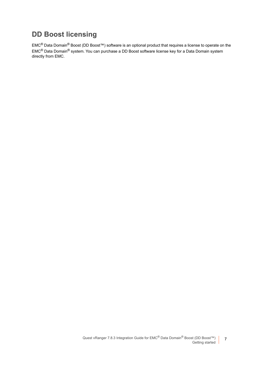### **DD Boost licensing**

EMC® Data Domain® Boost (DD Boost™) software is an optional product that requires a license to operate on the EMC® Data Domain® system. You can purchase a DD Boost software license key for a Data Domain system directly from EMC.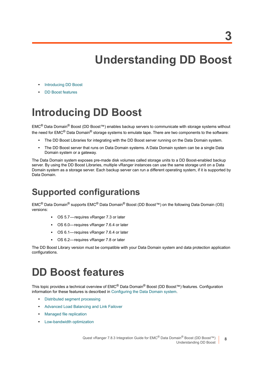# **Understanding DD Boost**

- <span id="page-7-0"></span>**•** [Introducing DD Boost](#page-7-1)
- **•** [DD Boost features](#page-7-3)

# <span id="page-7-1"></span>**Introducing DD Boost**

EMC® Data Domain® Boost (DD Boost™) enables backup servers to communicate with storage systems without the need for EMC<sup>®</sup> Data Domain<sup>®</sup> storage systems to emulate tape. There are two components to the software:

- **•** The DD Boost Libraries for integrating with the DD Boost server running on the Data Domain system.
- **•** The DD Boost server that runs on Data Domain systems. A Data Domain system can be a single Data Domain system or a gateway.

The Data Domain system exposes pre-made disk volumes called storage units to a DD Boost-enabled backup server. By using the DD Boost Libraries, multiple vRanger instances can use the same storage unit on a Data Domain system as a storage server. Each backup server can run a different operating system, if it is supported by Data Domain.

# <span id="page-7-2"></span>**Supported configurations**

EMC® Data Domain® supports EMC® Data Domain® Boost (DD Boost™) on the following Data Domain (OS) versions:

- **▪** OS 5.7 requires vRanger 7.3 or later
- **▪** OS 6.0— requires vRanger 7.6.4 or later
- **▪** OS 6.1— requires vRanger 7.6.4 or later
- OS 6.2-requires vRanger 7.8 or later

The DD Boost Library version must be compatible with your Data Domain system and data protection application configurations.

# <span id="page-7-3"></span>**DD Boost features**

This topic provides a technical overview of EMC® Data Domain® Boost (DD Boost™) features. Configuration information for these features is described in [Configuring the Data Domain system](#page-12-3).

- **•** [Distributed segment processing](#page-8-0)
- **•** [Advanced Load Balancing and Link Failover](#page-8-1)
- **•** [Managed file replication](#page-9-0)
- **•** [Low-bandwidth optimization](#page-10-0)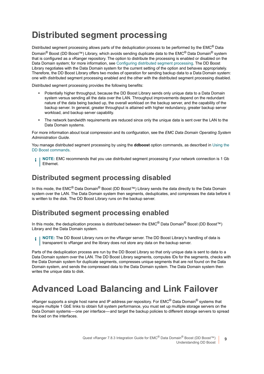## <span id="page-8-2"></span><span id="page-8-0"></span>**Distributed segment processing**

Distributed segment processing allows parts of the deduplication process to be performed by the EMC<sup>®</sup> Data Domain<sup>®</sup> Boost (DD Boost™) Library, which avoids sending duplicate data to the EMC<sup>®</sup> Data Domain<sup>®</sup> system that is configured as a vRanger repository. The option to distribute the processing is enabled or disabled on the Data Domain system; for more information, see [Configuring distributed segment processing.](#page-13-3) The DD Boost Library negotiates with the Data Domain system for the current setting of the option and behaves appropriately. Therefore, the DD Boost Library offers two modes of operation for sending backup data to a Data Domain system: one with distributed segment processing enabled and the other with the distributed segment processing disabled.

Distributed segment processing provides the following benefits:

- **•** Potentially higher throughput, because the DD Boost Library sends only unique data to a Data Domain system versus sending all the data over the LAN. Throughput improvements depend on the redundant nature of the data being backed up, the overall workload on the backup server, and the capability of the backup server. In general, greater throughput is attained with higher redundancy, greater backup server workload, and backup server capability.
- **•** The network bandwidth requirements are reduced since only the unique data is sent over the LAN to the Data Domain systems.

For more information about local compression and its configuration, see the *EMC Data Domain Operating System Administration Guide*.

You manage distributed segment processing by using the **ddboost** option commands, as described in Using the DD Boost commands.

**NOTE:** EMC recommends that you use distributed segment processing if your network connection is 1 Gb ÷ Ethernet.

### **Distributed segment processing disabled**

In this mode, the EMC® Data Domain® Boost (DD Boost™) Library sends the data directly to the Data Domain system over the LAN. The Data Domain system then segments, deduplicates, and compresses the data before it is written to the disk. The DD Boost Library runs on the backup server.

### **Distributed segment processing enabled**

In this mode, the deduplication process is distributed between the EMC<sup>®</sup> Data Domain<sup>®</sup> Boost (DD Boost™) Library and the Data Domain system.

**i** | NOTE: The DD Boost Library runs on the vRanger server. The DD Boost Library's handling of data is transparent to vRanger and the library does not store any data on the backup server.

Parts of the deduplication process are run by the DD Boost Library so that only unique data is sent to data to a Data Domain system over the LAN. The DD Boost Library segments, computes IDs for the segments, checks with the Data Domain system for duplicate segments, compresses unique segments that are not found on the Data Domain system, and sends the compressed data to the Data Domain system. The Data Domain system then writes the unique data to disk.

## <span id="page-8-1"></span>**Advanced Load Balancing and Link Failover**

vRanger supports a single host name and IP address per repository. For EMC<sup>®</sup> Data Domain<sup>®</sup> systems that require multiple 1 GbE links to obtain full system performance, you must set up multiple storage servers on the Data Domain systems — one per interface — and target the backup policies to different storage servers to spread the load on the interfaces.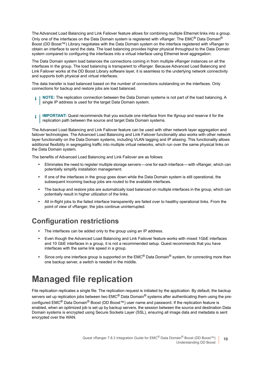The Advanced Load Balancing and Link Failover feature allows for combining multiple Ethernet links into a group. Only one of the interfaces on the Data Domain system is registered with vRanger. The EMC® Data Domain® Boost (DD Boost™) Library negotiates with the Data Domain system on the interface registered with vRanger to obtain an interface to send the data. The load balancing provides higher physical throughput to the Data Domain system compared to configuring the interfaces into a virtual interface using Ethernet level aggregation.

The Data Domain system load balances the connections coming in from multiple vRanger instances on all the interfaces in the group. The load balancing is transparent to vRanger. Because Advanced Load Balancing and Link Failover works at the DD Boost Library software layer, it is seamless to the underlying network connectivity and supports both physical and virtual interfaces.

The data transfer is load balanced based on the number of connections outstanding on the interfaces. Only connections for backup and restore jobs are load balanced.

- **NOTE:** The replication connection between the Data Domain systems is not part of the load balancing. A i I single IP address is used for the target Data Domain system.
- **IMPORTANT:** Quest recommends that you exclude one interface from the ifgroup and reserve it for the ÷ replication path between the source and target Data Domain systems.

The Advanced Load Balancing and Link Failover feature can be used with other network layer aggregation and failover technologies. The Advanced Load Balancing and Link Failover functionality also works with other network layer functionality on the Data Domain systems, including VLAN tagging and IP aliasing. This functionality allows additional flexibility in segregating traffic into multiple virtual networks, which run over the same physical links on the Data Domain system.

The benefits of Advanced Load Balancing and Link Failover are as follows:

- **•** Eliminates the need to register multiple storage servers one for each interface with vRanger, which can potentially simplify installation management.
- **•** If one of the interfaces in the group goes down while the Data Domain system is still operational, the subsequent incoming backup jobs are routed to the available interfaces.
- **•** The backup and restore jobs are automatically load balanced on multiple interfaces in the group, which can potentially result in higher utilization of the links.
- **•** All in-flight jobs to the failed interface transparently are failed over to healthy operational links. From the point of view of vRanger, the jobs continue uninterrupted.

### **Configuration restrictions**

- **•** The interfaces can be added only to the group using an IP address.
- **•** Even though the Advanced Load Balancing and Link Failover feature works with mixed 1GbE interfaces and 10 GbE interfaces in a group, it is not a recommended setup. Quest recommends that you have interfaces with the same link speed in a group.
- **•** Since only one interface group is supported on the EMC® Data Domain® system, for connecting more than one backup server, a switch is needed in the middle.

# <span id="page-9-0"></span>**Managed file replication**

File replication replicates a single file. The replication request is initiated by the application. By default, the backup servers set up replication jobs between two EMC<sup>®</sup> Data Domain<sup>®</sup> systems after authenticating them using the preconfigured EMC<sup>®</sup> Data Domain<sup>®</sup> Boost (DD Boost™) user name and password. If the replication feature is enabled, when an optimized job is set up by backup servers, the session between the source and destination Data Domain systems is encrypted using Secure Sockets Layer (SSL), ensuring all image data and metadata is sent encrypted over the WAN.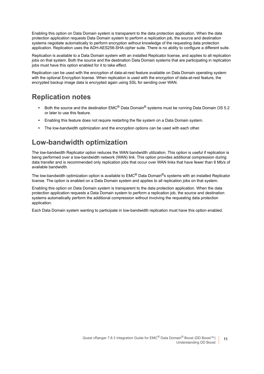Enabling this option on Data Domain system is transparent to the data protection application. When the data protection application requests Data Domain system to perform a replication job, the source and destination systems negotiate automatically to perform encryption without knowledge of the requesting data protection application. Replication uses the ADH-AES256-SHA cipher suite. There is no ability to configure a different suite.

Replication is available to a Data Domain system with an installed Replicator license, and applies to all replication jobs on that system. Both the source and the destination Data Domain systems that are participating in replication jobs must have this option enabled for it to take effect.

Replication can be used with the encryption of data-at-rest feature available on Data Domain operating system with the optional Encryption license. When replication is used with the encryption of data-at-rest feature, the encrypted backup image data is encrypted again using SSL for sending over WAN.

### **Replication notes**

- **•** Both the source and the destination EMC® Data Domain® systems must be running Data Domain OS 5.2 or later to use this feature.
- **•** Enabling this feature does not require restarting the file system on a Data Domain system.
- **•** The low-bandwidth optimization and the encryption options can be used with each other.

### <span id="page-10-0"></span>**Low-bandwidth optimization**

The low-bandwidth Replicator option reduces the WAN bandwidth utilization. This option is useful if replication is being performed over a low-bandwidth network (WAN) link. This option provides additional compression during data transfer and is recommended only replication jobs that occur over WAN links that have fewer than 6 Mb/s of available bandwidth.

The low-bandwidth optimization option is available to EMC® Data Domain®s systems with an installed Replicator license. The option is enabled on a Data Domain system and applies to all replication jobs on that system.

Enabling this option on Data Domain system is transparent to the data protection application. When the data protection application requests a Data Domain system to perform a replication job, the source and destination systems automatically perform the additional compression without involving the requesting data protection application.

Each Data Domain system wanting to participate in low-bandwidth replication must have this option enabled.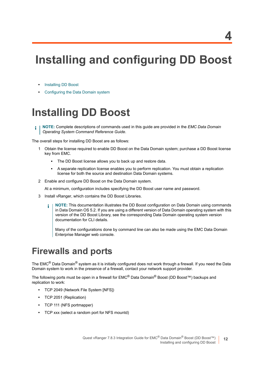# <span id="page-11-0"></span>**Installing and configuring DD Boost**

- **•** [Installing DD Boost](#page-11-1)
- **•** [Configuring the Data Domain system](#page-12-1)

# <span id="page-11-1"></span>**Installing DD Boost**

**NOTE:** Complete descriptions of commands used in this guide are provided in the *EMC Data Domain*  i *Operating System Command Reference Guide*.

The overall steps for installing DD Boost are as follows:

- 1 Obtain the license required to enable DD Boost on the Data Domain system; purchase a DD Boost license key from EMC.
	- **▪** The DD Boost license allows you to back up and restore data.
	- **▪** A separate replication license enables you to perform replication. You must obtain a replication license for both the source and destination Data Domain systems.
- 2 Enable and configure DD Boost on the Data Domain system.

At a minimum, configuration includes specifying the DD Boost user name and password.

- 3 Install vRanger, which contains the DD Boost Libraries.
	- **NOTE:** This documentation illustrates the DD Boost configuration on Data Domain using commands f. in Data Domain OS 5.2. If you are using a different version of Data Domain operating system with this version of the DD Boost Library, see the corresponding Data Domain operating system version documentation for CLI details.

Many of the configurations done by command line can also be made using the EMC Data Domain Enterprise Manager web console.

## <span id="page-11-2"></span>**Firewalls and ports**

The EMC<sup>®</sup> Data Domain<sup>®</sup> system as it is initially configured does not work through a firewall. If you need the Data Domain system to work in the presence of a firewall, contact your network support provider.

The following ports must be open in a firewall for EMC® Data Domain® Boost (DD Boost™) backups and replication to work:

- **•** TCP 2049 (Network File System [NFS])
- **•** TCP 2051 (Replication)
- **•** TCP 111 (NFS portmapper)
- **•** TCP xxx (select a random port for NFS mountd)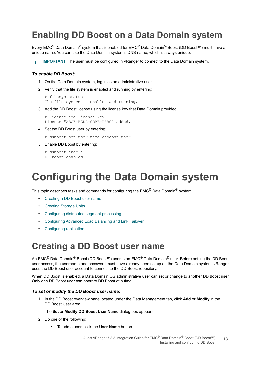## <span id="page-12-0"></span>**Enabling DD Boost on a Data Domain system**

Every EMC® Data Domain® system that is enabled for EMC® Data Domain® Boost (DD Boost™) must have a unique name. You can use the Data Domain system's DNS name, which is always unique.

**I IMPORTANT:** The user must be configured in vRanger to connect to the Data Domain system.

#### *To enable DD Boost:*

- 1 On the Data Domain system, log in as an administrative user.
- 2 Verify that the file system is enabled and running by entering:

```
# filesys status
The file system is enabled and running.
```
3 Add the DD Boost license using the license key that Data Domain provided:

```
# license add license key
License "ABCE-BCDA-CDAB-DABC" added.
```
- 4 Set the DD Boost user by entering:
	- # ddboost set user-name ddboost-user
- 5 Enable DD Boost by entering:

```
# ddboost enable
DD Boost enabled
```
# <span id="page-12-3"></span><span id="page-12-1"></span>**Configuring the Data Domain system**

This topic describes tasks and commands for configuring the EMC® Data Domain® system.

- **•** [Creating a DD Boost user name](#page-12-2)
- **•** [Creating Storage Units](#page-13-0)
- **•** [Configuring distributed segment processing](#page-13-1)
- **•** [Configuring Advanced Load Balancing and Link Failover](#page-14-0)
- **•** [Configuring replication](#page-14-1)

## <span id="page-12-2"></span>**Creating a DD Boost user name**

An EMC<sup>®</sup> Data Domain<sup>®</sup> Boost (DD Boost™) user is an EMC<sup>®</sup> Data Domain<sup>®</sup> user. Before setting the DD Boost user access, the username and password must have already been set up on the Data Domain system. vRanger uses the DD Boost user account to connect to the DD Boost repository.

When DD Boost is enabled, a Data Domain OS administrative user can set or change to another DD Boost user. Only one DD Boost user can operate DD Boost at a time.

#### *To set or modify the DD Boost user name:*

1 In the DD Boost overview pane located under the Data Management tab, click **Add** or **Modify** in the DD Boost User area.

#### The **Set** or **Modify DD Boost User Name** dialog box appears.

- 2 Do one of the following:
	- **▪** To add a user, click the **User Name** button.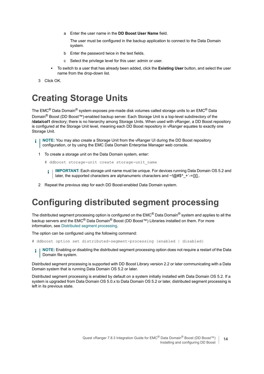a Enter the user name in the **DD Boost User Name** field.

The user must be configured in the backup application to connect to the Data Domain system.

- b Enter the password twice in the text fields.
- c Select the privilege level for this user: admin or user.
- **▪** To switch to a user that has already been added, click the **Existing User** button, and select the user name from the drop-down list.
- 3 Click OK.

## <span id="page-13-2"></span><span id="page-13-0"></span>**Creating Storage Units**

The EMC® Data Domain® system exposes pre-made disk volumes called storage units to an EMC® Data Domain® Boost (DD Boost™)-enabled backup server. Each Storage Unit is a top-level subdirectory of the **/data/col1** directory; there is no hierarchy among Storage Units. When used with vRanger, a DD Boost repository is configured at the Storage Unit level, meaning each DD Boost repository in vRanger equates to exactly one Storage Unit.

- **i** | NOTE: You may also create a Storage Unit from the vRanger UI during the DD Boost repository configuration, or by using the EMC Data Domain Enterprise Manager web console.
	- 1 To create a storage unit on the Data Domain system, enter:
		- # ddboost storage-unit create storage-unit name
		- **IMPORTANT:** Each storage unit name must be unique. For devices running Data Domain OS 5.2 and f. later, the supported characters are alphanumeric characters and ~! $@#\$$ ^ +`-={}[],.
	- 2 Repeat the previous step for each DD Boost-enabled Data Domain system.

## <span id="page-13-3"></span><span id="page-13-1"></span>**Configuring distributed segment processing**

The distributed segment processing option is configured on the EMC<sup>®</sup> Data Domain<sup>®</sup> system and applies to all the backup servers and the EMC<sup>®</sup> Data Domain® Boost (DD Boost™) Libraries installed on them. For more information, see [Distributed segment processing](#page-8-2).

The option can be configured using the following command:

- # ddboost option set distributed-segment-processing {enabled | disabled}
- **NOTE:** Enabling or disabling the distributed segment processing option does not require a restart of the Data f. Domain file system.

Distributed segment processing is supported with DD Boost Library version 2.2 or later communicating with a Data Domain system that is running Data Domain OS 5.2 or later.

Distributed segment processing is enabled by default on a system initially installed with Data Domain OS 5.2. If a system is upgraded from Data Domain OS 5.0.x to Data Domain OS 5.2 or later, distributed segment processing is left in its previous state.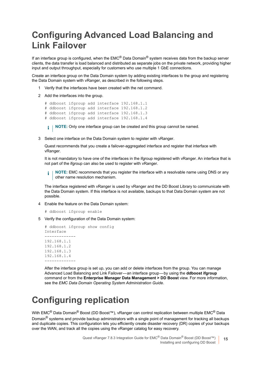# <span id="page-14-2"></span><span id="page-14-0"></span>**Configuring Advanced Load Balancing and Link Failover**

If an interface group is configured, when the EMC<sup>®</sup> Data Domain<sup>®</sup> system receives data from the backup server clients, the data transfer is load balanced and distributed as separate jobs on the private network, providing higher input and output throughput, especially for customers who use multiple 1 GbE connections.

Create an interface group on the Data Domain system by adding existing interfaces to the group and registering the Data Domain system with vRanger, as described in the following steps.

- 1 Verify that the interfaces have been created with the net command.
- 2 Add the interfaces into the group.

```
# ddboost ifgroup add interface 192.168.1.1
# ddboost ifgroup add interface 192.168.1.2
# ddboost ifgroup add interface 192.168.1.3
# ddboost ifgroup add interface 192.168.1.4
```
**i** | NOTE: Only one interface group can be created and this group cannot be named.

3 Select one interface on the Data Domain system to register with vRanger.

Quest recommends that you create a failover-aggregated interface and register that interface with vRanger.

It is not mandatory to have one of the interfaces in the ifgroup registered with vRanger. An interface that is not part of the ifgroup can also be used to register with vRanger.

**NOTE:** EMC recommends that you register the interface with a resolvable name using DNS or any f. other name resolution mechanism.

The interface registered with vRanger is used by vRanger and the DD Boost Library to communicate with the Data Domain system. If this interface is not available, backups to that Data Domain system are not possible.

4 Enable the feature on the Data Domain system:

```
# ddboost ifgroup enable
```
5 Verify the configuration of the Data Domain system:

```
# ddboost ifgroup show config
Interface
-------------
192.168.1.1
192.168.1.2
192.168.1.3
192.168.1.4
-------------
```
After the interface group is set up, you can add or delete interfaces from the group. You can manage Advanced Load Balancing and Link Failover — an interface group — by using the **ddboost ifgroup** command or from the **Enterprise Manager Data Management > DD Boost** view. For more information, see the *EMC Data Domain Operating System Administration Guide*.

## <span id="page-14-1"></span>**Configuring replication**

With EMC<sup>®</sup> Data Domain<sup>®</sup> Boost (DD Boost™), vRanger can control replication between multiple EMC<sup>®</sup> Data Domain<sup>®</sup> systems and provide backup administrators with a single point of management for tracking all backups and duplicate copies. This configuration lets you efficiently create disaster recovery (DR) copies of your backups over the WAN, and track all the copies using the vRanger catalog for easy recovery.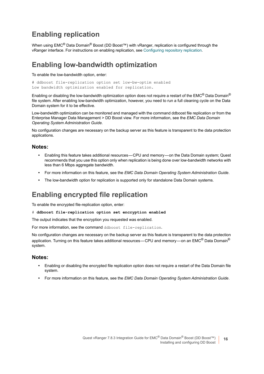### **Enabling replication**

When using EMC<sup>®</sup> Data Domain<sup>®</sup> Boost (DD Boost<sup>™</sup>) with vRanger, replication is configured through the vRanger interface. For instructions on enabling replication, see [Configuring repository replication](#page-19-1).

#### **Enabling low-bandwidth optimization**

To enable the low-bandwidth option, enter:

```
# ddboost file-replication option set low-bw-optim enabled
Low bandwidth optimization enabled for replication.
```
Enabling or disabling the low-bandwidth optimization option does not require a restart of the EMC<sup>®</sup> Data Domain<sup>®</sup> file system. After enabling low-bandwidth optimization, however, you need to run a full cleaning cycle on the Data Domain system for it to be effective.

Low-bandwidth optimization can be monitored and managed with the command ddboost file replication or from the Enterprise Manager Data Management > DD Boost view. For more information, see the *EMC Data Domain Operating System Administration Guide*.

No configuration changes are necessary on the backup server as this feature is transparent to the data protection applications.

#### **Notes:**

- **•** Enabling this feature takes additional resources CPU and memory on the Data Domain system; Quest recommends that you use this option only when replication is being done over low-bandwidth networks with less than 6 Mbps aggregate bandwidth.
- **•** For more information on this feature, see the *EMC Data Domain Operating System Administration Guide*.
- **•** The low-bandwidth option for replication is supported only for standalone Data Domain systems.

#### **Enabling encrypted file replication**

To enable the encrypted file-replication option, enter:

# **ddboost file-replication option set encryption enabled**

The output indicates that the encryption you requested was enabled.

For more information, see the command ddboost file-replication.

No configuration changes are necessary on the backup server as this feature is transparent to the data protection application. Turning on this feature takes additional resources—CPU and memory—on an EMC<sup>®</sup> Data Domain<sup>®</sup> system.

#### **Notes:**

- **•** Enabling or disabling the encrypted file replication option does not require a restart of the Data Domain file system.
- **•** For more information on this feature, see the *EMC Data Domain Operating System Administration Guide*.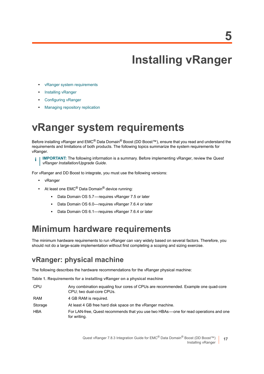# **Installing vRanger**

- <span id="page-16-0"></span>**•** [vRanger system requirements](#page-16-1)
- **•** [Installing vRanger](#page-18-0)
- **•** [Configuring vRanger](#page-18-1)
- **•** [Managing repository replication](#page-21-1)

# <span id="page-16-2"></span><span id="page-16-1"></span>**vRanger system requirements**

Before installing vRanger and EMC<sup>®</sup> Data Domain<sup>®</sup> Boost (DD Boost™), ensure that you read and understand the requirements and limitations of both products. The following topics summarize the system requirements for vRanger.

**IMPORTANT:** The following information is a summary. Before implementing vRanger, review the *Quest vRanger Installation/Upgrade Guide*.

For vRanger and DD Boost to integrate, you must use the following versions:

- **•** vRanger
- **•** At least one EMC® Data Domain® device running:
	- **▪** Data Domain OS 5.7 requires vRanger 7.5 or later
	- Data Domain OS 6.0— requires vRanger 7.6.4 or later
	- **▪** Data Domain OS 6.1— requires vRanger 7.6.4 or later

## **Minimum hardware requirements**

The minimum hardware requirements to run vRanger can vary widely based on several factors. Therefore, you should not do a large-scale implementation without first completing a scoping and sizing exercise.

### **vRanger: physical machine**

The following describes the hardware recommendations for the vRanger physical machine:

**Table 1. Requirements for a installing vRanger on a physical machine**

| <b>CPU</b> | Any combination equaling four cores of CPUs are recommended. Example one quad-core<br>CPU: two dual-core CPUs. |
|------------|----------------------------------------------------------------------------------------------------------------|
| RAM        | 4 GB RAM is required.                                                                                          |
| Storage    | At least 4 GB free hard disk space on the vRanger machine.                                                     |
| <b>HBA</b> | For LAN-free, Quest recommends that you use two HBAs—one for read operations and one<br>for writing.           |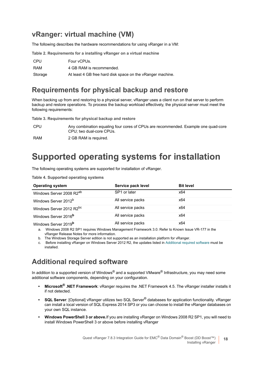### **vRanger: virtual machine (VM)**

The following describes the hardware recommendations for using vRanger in a VM:

**Table 2. Requirements for a installing vRanger on a virtual machine**

| CPU     | Four vCPUs.                                                |
|---------|------------------------------------------------------------|
| RAM     | 4 GB RAM is recommended.                                   |
| Storage | At least 4 GB free hard disk space on the vRanger machine. |

### **Requirements for physical backup and restore**

When backing up from and restoring to a physical server, vRanger uses a client run on that server to perform backup and restore operations. To process the backup workload effectively, the physical server must meet the following requirements:

**Table 3. Requirements for physical backup and restore**

| CPU | Any combination equaling four cores of CPUs are recommended. Example one quad-core |
|-----|------------------------------------------------------------------------------------|
|     | CPU: two dual-core CPUs.                                                           |

RAM 2 GB RAM is required.

## **Supported operating systems for installation**

The following operating systems are supported for installation of vRanger.

**Table 4. Supported operating systems**

| <b>Operating system</b>              | Service pack level | <b>Bit level</b> |
|--------------------------------------|--------------------|------------------|
| Windows Server 2008 R2 <sup>ab</sup> | SP1 or later       | x64              |
| Windows Server 2012 <sup>b</sup>     | All service packs  | x64              |
| Windows Server 2012 R2 <sup>bc</sup> | All service packs  | x64              |
| Windows Server 2016 <sup>b</sup>     | All service packs  | x64              |
| Windows Server 2019 <sup>b</sup>     | All service packs  | x64              |

a. Windows 2008 R2 SP1 requires Windows Management Framework 3.0. Refer to Known Issue VR-177 in the vRanger Release Notes for more information.

b. The Windows Storage Server edition is not supported as an installation platform for vRanger.

Before installing vRanger on Windows Server 2012 R2, the updates listed in Additional required software must be installed.

### **Additional required software**

In addition to a supported version of Windows® and a supported VMware<sup>®</sup> Infrastructure, you may need some additional software components, depending on your configuration.

- **Microsoft® .NET Framework**: vRanger requires the .NET Framework 4.5. The vRanger installer installs it if not detected.
- **SQL Server**: [Optional] vRanger utilizes two SQL Server® databases for application functionality. vRanger can install a local version of SQL Express 2014 SP3 or you can choose to install the vRanger databases on your own SQL instance.
- **Windows PowerShell 3 or above.**If you are installing vRanger on Windows 2008 R2 SP1, you will need to install Windows PowerShell 3 or above before installing vRanger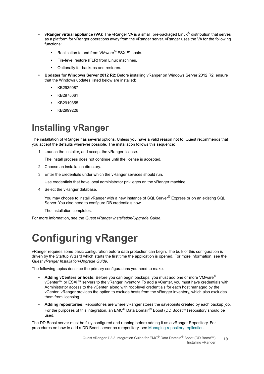- **vRanger virtual appliance (VA)**: The vRanger VA is a small, pre-packaged Linux® distribution that serves as a platform for vRanger operations away from the vRanger server. vRanger uses the VA for the following functions:
	- **▪** Replication to and from VMware® ESXi™ hosts.
	- File-level restore (FLR) from Linux machines.
	- **▪** Optionally for backups and restores.
- **Updates for Windows Server 2012 R2**: Before installing vRanger on Windows Server 2012 R2, ensure that the Windows updates listed below are installed:
	- **▪** KB2939087
	- **▪** KB2975061
	- **▪** KB2919355
	- **▪** KB2999226

## <span id="page-18-2"></span><span id="page-18-0"></span>**Installing vRanger**

The installation of vRanger has several options. Unless you have a valid reason not to, Quest recommends that you accept the defaults wherever possible. The installation follows this sequence:

1 Launch the installer, and accept the vRanger license.

The install process does not continue until the license is accepted.

- 2 Choose an installation directory.
- 3 Enter the credentials under which the vRanger services should run.

Use credentials that have local administrator privileges on the vRanger machine.

4 Select the vRanger database.

You may choose to install vRanger with a new instance of SQL Server<sup>®</sup> Express or on an existing SQL Server. You also need to configure DB credentials now.

The installation completes.

For more information, see the *Quest vRanger Installation/Upgrade Guide*.

# <span id="page-18-1"></span>**Configuring vRanger**

vRanger requires some basic configuration before data protection can begin. The bulk of this configuration is driven by the Startup Wizard which starts the first time the application is opened. For more information, see the *Quest vRanger Installation/Upgrade Guide*.

The following topics describe the primary configurations you need to make.

- **Adding vCenters or hosts:** Before you can begin backups, you must add one or more VMware® vCenter™ or ESXi™ servers to the vRanger inventory. To add a vCenter, you must have credentials with Administrator access to the vCenter, along with root-level credentials for each host managed by the vCenter. vRanger provides the option to exclude hosts from the vRanger inventory, which also excludes them from licensing.
- **Adding repositories:** Repositories are where vRanger stores the savepoints created by each backup job. For the purposes of this integration, an EMC® Data Domain® Boost (DD Boost™) repository should be used.

The DD Boost server must be fully configured and running before adding it as a vRanger Repository. For procedures on how to add a DD Boost server as a repository, see [Managing repository replication](#page-21-1).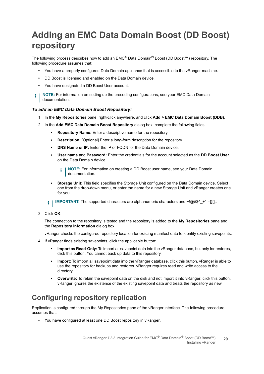# <span id="page-19-0"></span>**Adding an EMC Data Domain Boost (DD Boost) repository**

The following process describes how to add an EMC® Data Domain® Boost (DD Boost™) repository. The following procedure assumes that:

- **•** You have a properly configured Data Domain appliance that is accessible to the vRanger machine.
- **•** DD Boost is licensed and enabled on the Data Domain device.
- **•** You have designated a DD Boost User account.
- **NOTE:** For information on setting up the preceding configurations, see your EMC Data Domain ÷ documentation.

#### *To add an EMC Data Domain Boost Repository:*

- 1 In the **My Repositories** pane, right-click anywhere, and click **Add > EMC Data Domain Boost (DDB)**.
- 2 In the **Add EMC Data Domain Boost Repository** dialog box, complete the following fields:
	- **▪ Repository Name:** Enter a descriptive name for the repository.
	- **▪ Description:** [Optional] Enter a long-form description for the repository.
	- **DNS Name or IP:** Fnter the IP or FQDN for the Data Domain device.
	- **▪ User name** and **Password:** Enter the credentials for the account selected as the **DD Boost User**  on the Data Domain device.
		- **NOTE:** For information on creating a DD Boost user name, see your Data Domain f documentation.
	- **Storage Unit:** This field specifies the Storage Unit configured on the Data Domain device. Select one from the drop-down menu, or enter the name for a new Storage Unit and vRanger creates one for you.
	- **IMPORTANT:** The supported characters are alphanumeric characters and ~!@#\$^ +`-={}[],. i I
- 3 Click **OK**.

The connection to the repository is tested and the repository is added to the **My Repositories** pane and the **Repository Information** dialog box.

vRanger checks the configured repository location for existing manifest data to identify existing savepoints.

- 4 If vRanger finds existing savepoints, click the applicable button:
	- **▪ Import as Read-Only:** To import all savepoint data into the vRanger database, but only for restores, click this button. You cannot back up data to this repository.
	- **Import:** To import all savepoint data into the vRanger database, click this button, vRanger is able to use the repository for backups and restores. vRanger requires read and write access to the directory.
	- **Overwrite:** To retain the savepoint data on the disk and not import it into vRanger, click this button. vRanger ignores the existence of the existing savepoint data and treats the repository as new.

### <span id="page-19-1"></span>**Configuring repository replication**

Replication is configured through the My Repositories pane of the vRanger interface. The following procedure assumes that:

**•** You have configured at least one DD Boost repository in vRanger.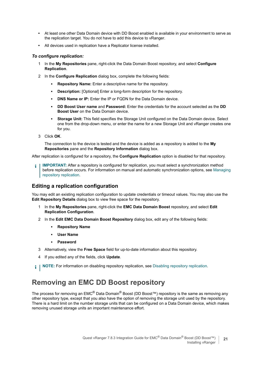- **•** At least one other Data Domain device with DD Boost enabled is available in your environment to serve as the replication target. You do not have to add this device to vRanger.
- **•** All devices used in replication have a Replicator license installed.

#### *To configure replication:*

- 1 In the **My Repositories** pane, right-click the Data Domain Boost repository, and select **Configure Replication**.
- 2 In the **Configure Replication** dialog box, complete the following fields:
	- **Repository Name:** Enter a descriptive name for the repository.
	- **▪ Description:** [Optional] Enter a long-form description for the repository.
	- **DNS Name or IP:** Enter the IP or FODN for the Data Domain device.
	- **▪ DD Boost User name** and **Password:** Enter the credentials for the account selected as the **DD Boost User** on the Data Domain device.
	- **Storage Unit:** This field specifies the Storage Unit configured on the Data Domain device. Select one from the drop-down menu, or enter the name for a new Storage Unit and vRanger creates one for you.
- 3 Click **OK**.

The connection to the device is tested and the device is added as a repository is added to the **My Repositories** pane and the **Repository Information** dialog box.

After replication is configured for a repository, the **Configure Replication** option is disabled for that repository.

**IMPORTANT:** After a repository is configured for replication, you must select a synchronization method ÷. before replication occurs. For information on manual and automatic synchronization options, see [Managing](#page-21-1)  [repository replication.](#page-21-1)

#### **Editing a replication configuration**

You may edit an existing replication configuration to update credentials or timeout values. You may also use the **Edit Repository Details** dialog box to view free space for the repository.

- 1 In the **My Repositories** pane, right-click the **EMC Data Domain Boost** repository, and select **Edit Replication Configuration**.
- 2 In the **Edit EMC Data Domain Boost Repository** dialog box, edit any of the following fields:
	- **▪ Repository Name**
	- **▪ User Name**
	- **▪ Password**
- 3 Alternatively, view the **Free Space** field for up-to-date information about this repository.
- 4 If you edited any of the fields, click **Update**.

**i** | NOTE: For information on disabling repository replication, see Disabling repository replication.

### **Removing an EMC DD Boost repository**

The process for removing an EMC<sup>®</sup> Data Domain<sup>®</sup> Boost (DD Boost™) repository is the same as removing any other repository type, except that you also have the option of removing the storage unit used by the repository. There is a hard limit on the number storage units that can be configured on a Data Domain device, which makes removing unused storage units an important maintenance effort.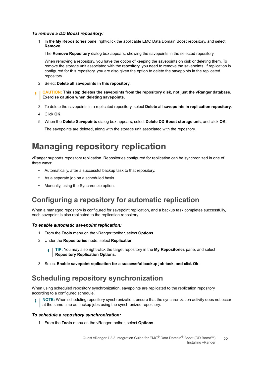#### *To remove a DD Boost repository:*

1 In the **My Repositories** pane, right-click the applicable EMC Data Domain Boost repository, and select **Remove**.

The **Remove Repository** dialog box appears, showing the savepoints in the selected repository.

When removing a repository, you have the option of keeping the savepoints on disk or deleting them. To remove the storage unit associated with the repository, you need to remove the savepoints. If replication is configured for this repository, you are also given the option to delete the savepoints in the replicated repository.

- 2 Select **Delete all savepoints in this repository**.
- **CAUTION: This step deletes the savepoints from the repository disk, not just the vRanger database. Exercise caution when deleting savepoints.**
- 3 To delete the savepoints in a replicated repository, select **Delete all savepoints in replication repository**.
- 4 Click **OK**.
- 5 When the **Delete Savepoints** dialog box appears, select **Delete DD Boost storage unit**, and click **OK**.

The savepoints are deleted, along with the storage unit associated with the repository.

## <span id="page-21-1"></span><span id="page-21-0"></span>**Managing repository replication**

vRanger supports repository replication. Repositories configured for replication can be synchronized in one of three ways:

- **•** Automatically, after a successful backup task to that repository.
- **•** As a separate job on a scheduled basis.
- **•** Manually, using the Synchronize option.

### **Configuring a repository for automatic replication**

When a managed repository is configured for savepoint replication, and a backup task completes successfully, each savepoint is also replicated to the replication repository.

#### *To enable automatic savepoint replication:*

- 1 From the **Tools** menu on the vRanger toolbar, select **Options**.
- 2 Under the **Repositories** node, select **Replication**.

**TIP:** You may also right-click the target repository in the **My Repositories** pane, and select f. **Repository Replication Options**.

3 Select **Enable savepoint replication for a successful backup job task, and c**lick **Ok**.

### **Scheduling repository synchronization**

When using scheduled repository synchronization, savepoints are replicated to the replication repository according to a configured schedule.

**NOTE:** When scheduling repository synchronization, ensure that the synchronization activity does not occur ÷ at the same time as backup jobs using the synchronized repository.

#### *To schedule a repository synchronization:*

1 From the **Tools** menu on the vRanger toolbar, select **Options**.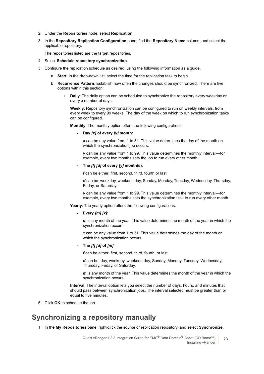- 2 Under the **Repositories** node, select **Replication**.
- 3 In the **Repository Replication Configuration** pane, find the **Repository Name** column, and select the applicable repository.

The repositories listed are the target repositories.

- 4 Select **Schedule repository synchronization**.
- 5 Configure the replication schedule as desired, using the following information as a guide.
	- a **Start**: In the drop-down list, select the time for the replication task to begin.
	- b **Recurrence Pattern**: Establish how often the changes should be synchronized. There are five options within this section:
		- **▫ Daily**: The daily option can be scheduled to synchronize the repository every weekday or every *x* number of days.
		- **■ Weekly:** Repository synchronization can be configured to run on weekly intervals, from every week to every 99 weeks. The day of the week on which to run synchronization tasks can be configured.
		- **▫ Monthly**: The monthly option offers the following configurations:

#### **- Day** *[x]* **of every** *[y]* **month:**

*x* can be any value from 1 to 31. This value determines the day of the month on which the synchronization job occurs.

*y* can be any value from 1 to 99. This value determines the monthly interval — for example, every two months sets the job to run every other month.

#### **- The** *[f] [d]* **of every** *[y]* **month(s)**:

*f* can be either: first, second, third, fourth or last.

*d* can be: weekday, weekend day, Sunday, Monday, Tuesday, Wednesday, Thursday, Friday, or Saturday.

*y* can be any value from 1 to 99. This value determines the monthly interval—for example, every two months sets the synchronization task to run every other month.

- **▫ Yearly**: The yearly option offers the following configurations:
	- **Every** *[m] [x]*:

*m* is any month of the year. This value determines the month of the year in which the synchronization occurs.

*x* can be any value from 1 to 31. This value determines the day of the month on which the synchronization occurs.

#### **- The** *[f] [d]* **of** *[m]*:

*f* can be either: first, second, third, fourth, or last.

*d* can be: day, weekday, weekend day, Sunday, Monday, Tuesday, Wednesday, Thursday, Friday, or Saturday.

*m* is any month of the year. This value determines the month of the year in which the synchronization occurs.

- **▫ Interval**: The interval option lets you select the number of days, hours, and minutes that should pass between synchronization jobs. The interval selected must be greater than or equal to five minutes.
- 6 Click **OK** to schedule the job.

### **Synchronizing a repository manually**

1 In the **My Repositories** pane, right-click the source or replication repository, and select **Synchronize**.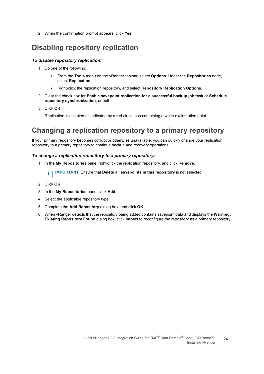2 When the confirmation prompt appears, click **Yes**.

### **Disabling repository replication**

#### *To disable repository replication:*

- 1 Do one of the following:
	- **▪** From the **Tools** menu on the vRanger toolbar, select **Options**. Under the **Repositories** node, select **Replication**.
	- **▪** Right-click the replication repository, and select **Repository Replication Options**.
- 2 Clear the check box for **Enable savepoint replication for a successful backup job task** or **Schedule repository synchronization**, or both**.**
- 3 Click **OK**.

Replication is disabled as indicated by a red circle icon containing a white exclamation point.

### **Changing a replication repository to a primary repository**

If your primary repository becomes corrupt or otherwise unavailable, you can quickly change your replication repository to a primary repository to continue backup and recovery operations.

#### *To change a replication repository to a primary repository:*

1 In the **My Repositories** pane, right-click the replication repository, and click **Remove**.

**i** | IMPORTANT: Ensure that Delete all savepoints in this repository is not selected.

- 2 Click **OK**.
- 3 In the **My Repositories** pane, click **Add**.
- 4 Select the applicable repository type.
- 5 Complete the **Add Repository** dialog box, and click **OK**.
- <span id="page-23-0"></span>6 When vRanger detects that the repository being added contains savepoint data and displays the **Warning: Existing Repository Found** dialog box, click **Import** to reconfigure the repository as a primary repository.